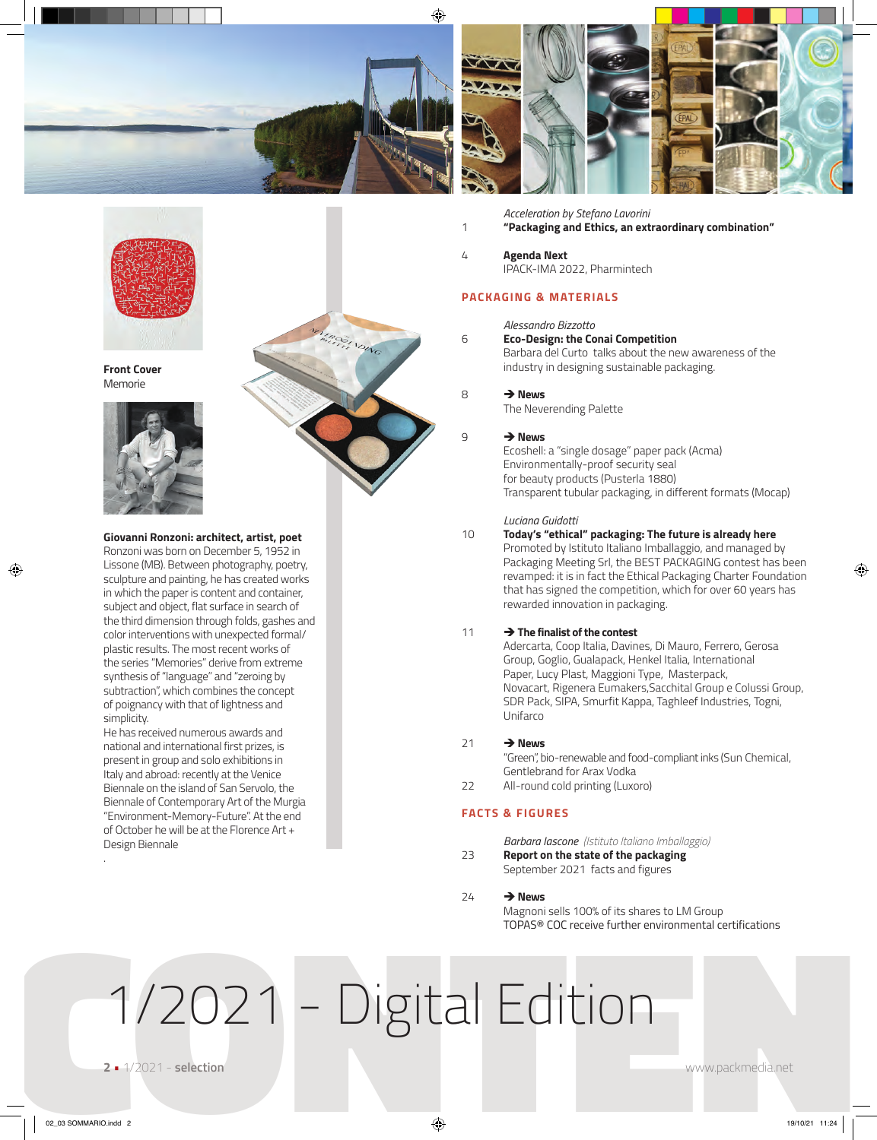

VENTRA COLLANDING



*Acceleration by Stefano Lavorini* 1 **"Packaging and Ethics, an extraordinary combination"** 

4 **Agenda Next** IPACK-IMA 2022, Pharmintech

# **PACKAGING & MATERIALS**

# *Alessandro Bizzotto*

# 6 **Eco-Design: the Conai Competition**

Barbara del Curto talks about the new awareness of the industry in designing sustainable packaging.

8 **→ News** The Neverending Palette

## 9 → **News**

Ecoshell: a "single dosage" paper pack (Acma) Environmentally-proof security seal for beauty products (Pusterla 1880) Transparent tubular packaging, in different formats (Mocap)

#### *Luciana Guidotti*

# 10 **Today's "ethical" packaging: The future is already here** Promoted by Istituto Italiano Imballaggio, and managed by Packaging Meeting Srl, the BEST PACKAGING contest has been revamped: it is in fact the Ethical Packaging Charter Foundation that has signed the competition, which for over 60 years has rewarded innovation in packaging.

## 11 è**The finalist of the contest**

Adercarta, Coop Italia, Davines, Di Mauro, Ferrero, Gerosa Group, Goglio, Gualapack, Henkel Italia, International Paper, Lucy Plast, Maggioni Type, Masterpack, Novacart, Rigenera Eumakers,Sacchital Group e Colussi Group, SDR Pack, SIPA, Smurfit Kappa, Taghleef Industries, Togni, Unifarco

## 21  $\rightarrow$  News

"Green", bio-renewable and food-compliant inks (Sun Chemical, Gentlebrand for Arax Vodka

22 All-round cold printing (Luxoro)

# **FACTS & FIGURES**

*Barbara Iascone (Istituto Italiano Imballaggio)*

23 **Report on the state of the packaging** September 2021 facts and figures

# $74 \rightarrow$ News

Magnoni sells 100% of its shares to LM Group TOPAS® COC receive further environmental certifications

 $1/2021$  - Digital Edition



**Front Cover** Memorie



**Giovanni Ronzoni: architect, artist, poet** 

Ronzoni was born on December 5, 1952 in Lissone (MB). Between photography, poetry, sculpture and painting, he has created works in which the paper is content and container, subject and object, flat surface in search of the third dimension through folds, gashes and color interventions with unexpected formal/ plastic results. The most recent works of the series "Memories" derive from extreme synthesis of "language" and "zeroing by subtraction", which combines the concept of poignancy with that of lightness and simplicity.

He has received numerous awards and national and international first prizes, is present in group and solo exhibitions in Italy and abroad: recently at the Venice Biennale on the island of San Servolo, the Biennale of Contemporary Art of the Murgia "Environment-Memory-Future". At the end of October he will be at the Florence Art + Design Biennale

.